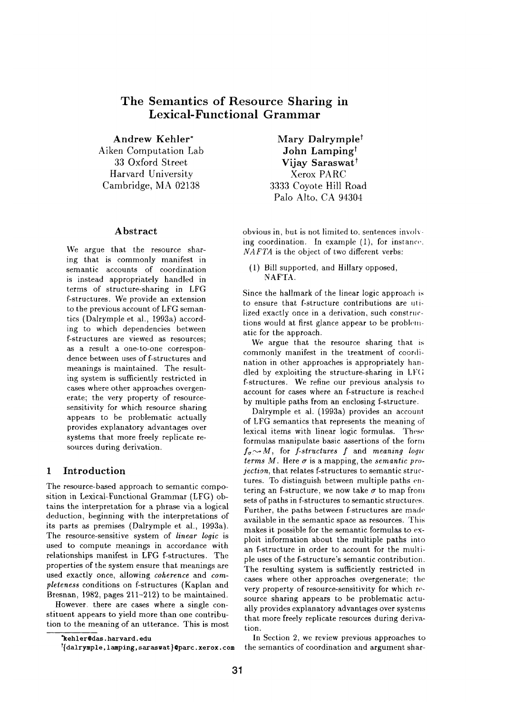# **The Semantics of Resource Sharing in Lexical-Functional Grammar**

Andrew Kehler"

Aiken Computation Lab 33 Oxford Street Harvard University Cambridge, MA 02138

### **Abstract**

We argue that the resource sharing that is commonly manifest in semantic accounts of coordination is instead appropriately handled in terms of structure-sharing in LFG f-structures. We provide an extension to the previous account of LFG semantics (Dalrymple et al., 1993a) according to which dependencies between f-structures are viewed as resources; as a result a one-to-one correspondence between uses of f-structures and meanings is maintained. The resulting system is sufficiently restricted in cases where other approaches overgenerate; the very property of resourcesensitivity for which resource sharing appears to be problematic actually provides explanatory advantages over systems that more freely replicate resources during derivation.

## **1** Introduction

The resource-based approach to semantic composition in Lexical-Functional Grammar (LFG) obtains the interpretation for a phrase via a logical deduction, beginning with the interpretations of its parts as premises (Dalrymple et al., 1993a). The resource-sensitive system of *linear logic* is used to compute meanings in accordance with relationships manifest in LFG f-structures. The properties of the system ensure that meanings are used exactly once, allowing *coherence* and *completeness* conditions on f-structures (Kaplan and Bresnan, 1982, pages 211-212) to be maintained.

However. there are cases where a single constituent appears to yield more than one contribution to the meaning of an utterance. This is most

Mary Dalrymple<sup>†</sup> John Lamping<sup>†</sup> Vijay Saraswat<sup>†</sup> Xerox PARC 3333 Coyote Hill Road Palo Alto, CA 94304

obvious in, but is not limited to, sentences involving coordination. In example  $(1)$ , for instance. *NAFTA* is the object of two different verbs:

(1) Bill supported, and Hillary opposed, NAFTA.

Since the hallmark of the linear logic approach is to ensure that f-structure contributions are ulilized exactly once in a derivation, such constructions would at first glance appear to be problematic for the approach.

We argue that the resource sharing that is commonly manifest in the treatment of coordination in other approaches is appropriately handled by exploiting the structure-sharing in LFG f-structures. We refine our previous analysis to account for cases where an f-structure is reached by multiple paths from an enclosing f-structure.

Dalrymple et al. (1993a) provides an account of LFG semantics that represents the meaning of lexical items with linear logic formulas. These formulas manipulate basic assertions of the form  $f_{\sigma} \rightarrow M$ , for *f-structures f* and *meaning logic*  $terms M.$  Here  $\sigma$  is a mapping, the *semantic projection*, that relates f-structures to semantic structures. To distinguish between multiple paths entering an f-structure, we now take  $\sigma$  to map from sets of paths in f-structures to semantic structures. Further, the paths between f-structures are made available in the semantic space as resources. This makes it possible for the semantic formulas to exploit information about the multiple paths into an f-structure in order to account for the multiple uses of the f-structure's semantic contribution. The resulting system is sufficiently restricted in cases where other approaches overgenerate; the very property of resource-sensitivity for which resource sharing appears to be problematic actually provides explanatory advantages over systems that more freely replicate resources during derivation.

In Section 2, we review previous approaches to the semantics of coordination and argument shar-

<sup>\*</sup>kehl er@das, harvard, edu

t{dalrymple, i amping, saraswat }@parc. xerox, tom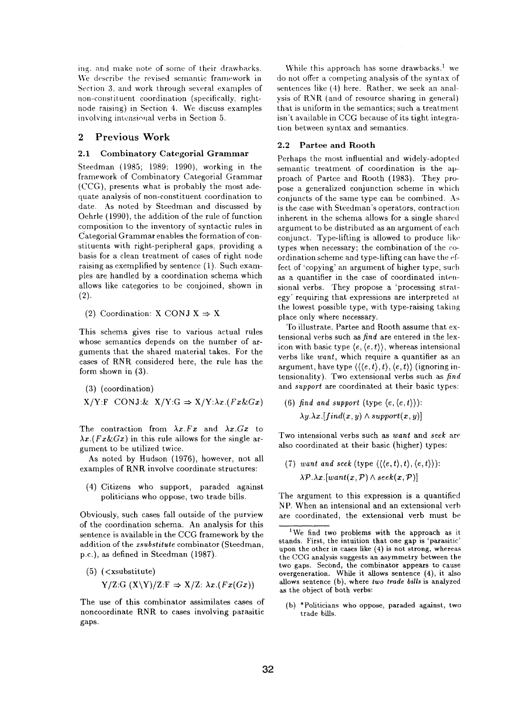ing. and make note of some of their drawbacks. We describe the revised semantic framework in Section 3. and work through several examples of non-constituent coordination (specifically, rightnode raising) in Section 4. We discuss examples involving intensional verbs in Section 5.

# **2** Previous Work

#### **2.1 Combinatory Categorial Grammar**

Steedman (1985; 1989; 1990), working in the framework of Combinatory Categorial Grammar (CCG), presents what is probably the most adequate analysis of non-constituent coordination to date. As noted by Steedman and discussed by Oehrle (1990), the addition of the rule of function composition to the inventory of syntactic rules in Categorial Grammar enables the formation of constituents with right-peripheral gaps, providing a basis for a clean treatment of cases of right node raising as exemplified by sentence (1). Such examples are handled by a coordination schema which allows like categories to be conjoined, shown in (2).

(2) Coordination: X CONJ  $X \Rightarrow X$ 

This schema gives rise to various actual rules whose semantics depends on the number of arguments that the shared material takes. For the cases of RNR considered here, the rule has the form shown in (3).

(3) (coordination)

 $X/Y:$ F CONJ:&  $X/Y:$ G  $\Rightarrow$   $X/Y:$  $\lambda x.(Fx\&Gx)$ 

The contraction from  $\lambda x.Fx$  and  $\lambda x.Gx$  to  $\lambda x.(Fx\&Gx)$  in this rule allows for the single argument to be utilized twice.

As noted by Hudson (1976), however, not all examples of RNR involve coordinate structures:

(4) Citizens who support, paraded against politicians who oppose, two trade bills.

Obviously, such cases fall outside of the purview of the coordination schema. An analysis for this sentence is available in the CCG framework by the addition of the *xsubstitute* combinator (Steedman, p.c.), as defined in Steedman (1987).

(5) (*xsubstitute*)  
Y/Z:G (X\Y)/Z:F 
$$
\Rightarrow
$$
 X/Z:  $\lambda x.(Fx(Gx))$ 

The use of this combinator assimilates cases of noncoordinate RNR to cases involving parasitic gaps.

While this approach has some drawbacks,<sup>1</sup> we do not offer a competing analysis of the syntax of sentences like (4) here. Rather, we seek an analysis of RNR (and of resource sharing in general) that is uniform in the semantics; such a treatment isn't available in CCG because of its tight integration between syntax and semantics.

#### 2.2 Partee and Rooth

Perhaps the most influential and widely-adopted semantic treatment of coordination is the approach of Partee and Rooth (1983). They propose a generalized conjunction scheme in which conjuncts of the same type can be combined. As is the case with Steedman's operators, contraction inherent in the schema allows for a single shared argument to be distributed as an argument of each conjunct. Type-lifting is allowed to produce like types when necessary; the combination of the coordination scheme and type-lifting can have the effect of 'copying' an argument of higher type, such as a quantifier in the case of coordinated intensional verbs. They propose a 'processing strategy' requiring that expressions are interpreted at the lowest possible type, with type-raising taking place only where necessary.

To illustrate. Partee and Rooth assume that extensional verbs such as *find* are entered in the lexicon with basic type  $\langle e, \langle e, t \rangle \rangle$ , whereas intensional verbs like *want,* which require a quantifier as an argument, have type  $\langle \langle \langle e, t \rangle, t \rangle, \langle e, t \rangle \rangle$  (ignoring intensionality). Two extensional verbs such as *find*  and *support* are coordinated at their basic types:

(6) find and support  $(\text{type } (e, \langle e, t \rangle))$ :  $\lambda y.\lambda x. [find(x, y) \land support(x, y)]$ 

Two intensional verbs such as *want* and *seek* are also coordinated at their basic (higher) types:

(7) *want and seek* (type  $\langle \langle (e,t), t \rangle, \langle e, t \rangle \rangle$ ):  $\lambda \mathcal{P}.\lambda x. [want(x, \mathcal{P}) \wedge seek(x, \mathcal{P})]$ 

The argument to this expression is a quantified NP. When an intensional and an extensional verb are coordinated, the extensional verb must be

(b) \*Politicians who oppose, paraded against, two trade bills.

<sup>&</sup>lt;sup>1</sup>We find two problems with the approach as it stands. First, the intuition that one gap is 'parasitic' upon the other in cases like (4) is not strong, whereas the CCG analysis suggests an asymmetry between the two gaps. Second, the combinator appears to cause overgeneration. While it allows sentence (4), it also allows sentence (b), where *two trade bills* is analyzed as the object of both verbs: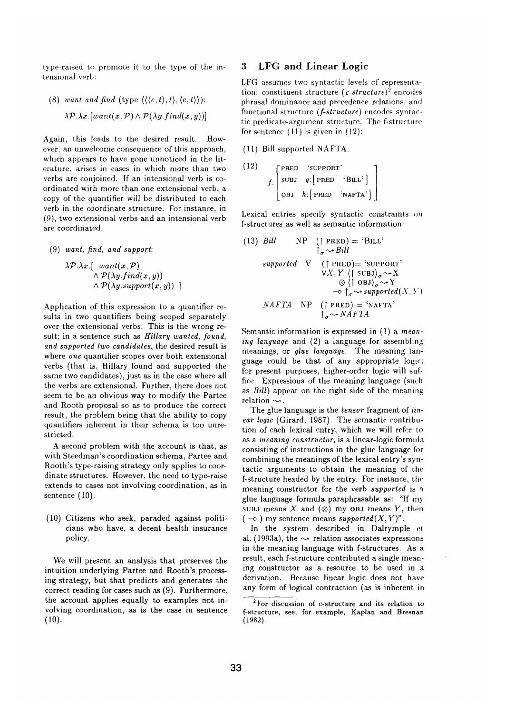type-raised to promote it to the type of the intensional verb:

(8) *want and find* (type  $\langle \langle e, t \rangle, t \rangle, \langle e, t \rangle$ ):  $\lambda \mathcal{P}.\lambda x. [want(x, \mathcal{P}) \wedge \mathcal{P}(\lambda y. find(x, y))]$ 

Again, this leads to the desired result. However, an unwelcome consequence of this approach, which appears to have gone unnoticed in the literature, arises in cases in which more than two verbs are conjoined. If an intensional verb is coordinated with more than one extensional verb, a copy of the quantifier will be distributed to each verb in the coordinate structure. For instance, in (9), two extensional verbs and an intensional verb are coordinated.

(9) *want, find, and support:* 

$$
\lambda \mathcal{P}.\lambda x. [\text{ want}(x, \mathcal{P}) \land \mathcal{P}(\lambda y. \text{find}(x, y)) \land \mathcal{P}(\lambda y. \text{support}(x, y)) ]
$$

Application of this expression to a quantifier results in two quantifiers being scoped separately over the extensional verbs. This is the wrong result; in a sentence such as *Hillary wanted, found, and supported two candidates,* the desired result is where *one* quantifier scopes over both extensional verbs (that is, Hillary found and supported the same two candidates), just as in the case where all the verbs are extensional. Further, there does not seem to be an obvious way to modify the Partee and Rooth proposal so as to produce the correct result, the problem being that the ability to copy quantifiers inherent in their schema is too unrestricted.

A second problem with the account is that, as with Steedman's coordination schema, Partee and Rooth's type-raising strategy only applies to coordinate structures. However, the need to type-raise extends to cases not involving coordination, as in sentence (10).

(10) Citizens who seek, paraded against politicians who have, a decent health insurance policy.

We will present an analysis that preserves the intuition underlying Partee and Rooth's processing strategy, but that predicts and generates the correct reading for cases such as (9). Furthermore, the account applies equally to examples not involving coordination, as is the case in sentence (10).

## **3 LFG** and Linear **Logic**

LFG assumes two syntactic levels of representation: constituent structure *(c-structure) 2* encodes phrasal dominance and precedence relations, and functional structure *(f-structure)* encodes syntactic predicate-argument structure. The f-structure for sentence  $(11)$  is given in  $(12)$ :

(11) Bill supported NAFTA.

(12) 
$$
f: \begin{bmatrix} \text{PRED} & \text{'SUPPORT'} \\ \text{SUBJ} & g: \begin{bmatrix} \text{PRED} & \text{'BLL'} \end{bmatrix} \\ \text{OBJ} & h: \begin{bmatrix} \text{PRED} & \text{'NLTA'} \end{bmatrix} \end{bmatrix}
$$

Lexical entries specify syntactic constraints on f-structures as well as semantic information:

(13) Bill NP († PRED) = 'BILL'  
\n
$$
\uparrow_{\sigma} \rightsquigarrow Bill
$$
  
\n $\text{supported } V$  († PRED) = 'SUPPORT'  
\n $\forall X, Y. \text{ } (\uparrow \text{SUBJ})_{\sigma} \rightsquigarrow X$   
\n $\otimes (\uparrow \text{OBJ})_{\sigma} \rightsquigarrow Y$   
\n $\neg \uparrow_{\sigma} \rightsquigarrow \text{supported}(X, Y)$   
\n $NAFTA \text{ NP } (\uparrow \text{PRED}) = \text{``NAFTA'} \uparrow \neg \text{Y} \rightsquigarrow \text{NAFTA}$ 

Semantic information is expressed in (1) a *meaning language* and (2) a language for assembling meanings, or *glue language.* The meaning language could be that of any appropriate logic: for present purposes, higher-order logic will suffice. Expressions of the meaning language (such as *Bill)* appear on the right side of the meaning relation  $\sim$ .

The glue language is the *tensor* fragment of *linear logic* (Girard, 1987). The semantic contribution of each lexical entry, which we will refer to as a *meaning constructor,* is a linear-logic formula consisting of instructions in the glue language for combining the meanings of the lexical entry's syntactic arguments to obtain the meaning of the f-structure headed by the entry. For instance, the meaning constructor for the verb *supported* is a glue language formula paraphrasable as: *"If* my SUBJ means X and  $(\otimes)$  my OBJ means Y, then  $(-\infty)$  my sentence means *supported* $(X, Y)$ ".

In the system described in Dalrymple et al. (1993a), the  $\rightarrow$  relation associates expressions in the meaning language with f-structures. As a result, each f-structure contributed a single meaning constructor as a resource to be used in a derivation. Because linear logic does not have any form of logical contraction (as is inherent in

<sup>&</sup>lt;sup>2</sup>For discussion of c-structure and its relation to f-structure, see, for example, Kaplan and Bresnan (1982).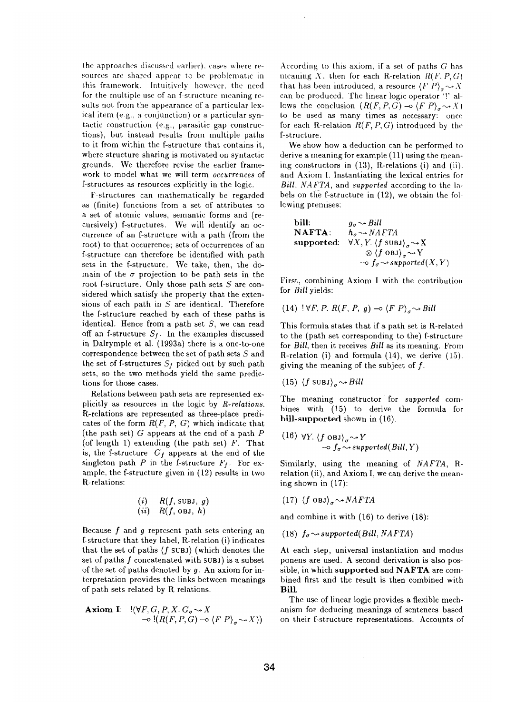the approaches discussed earlier), cases where resources are shared appear to be problematic in this framework. Intuitively. however, the need for the multiple use of an f-structure meaning results not from the appearance of a particular lexical item (e.g., a conjunction) or a particular syntactic construction (e.g., parasitic gap constructions), but instead results from multiple paths to it from within the f-structure that contains it, where structure sharing is motivated on syntactic grounds. We therefore revise the earlier framework to model what we will term *occurrences* of f-structures as resources explicitly in the logic.

F-structures can mathematically be regarded as (finite) functions from a set of attributes to a set of atomic values, semantic forms and (recursively) f-structures. We will identify an occurrence of an f-structure with a path (from the root) to that occurrence; sets of occurrences of an f-structure can therefore be identified with path sets in the f-structure. We take, then, the domain of the  $\sigma$  projection to be path sets in the root f-structure. Only those path sets S are considered which satisfy the property that the extensions of each path in  $S$  are identical. Therefore the f-structure reached by each of these paths is identical. Hence from a path set  $S$ , we can read off an f-structure  $S_f$ . In the examples discussed in Dalrymple et al. (1993a) there is a one-to-one correspondence between the set of path sets S and the set of f-structures  $S_f$  picked out by such path sets, so the two methods yield the same predictions for those cases.

Relations between path sets are represented explicitly as resources in the logic by *R-relations.*  R-relations are represented as three-place predicates of the form *R(F, P, G)* which indicate that (the path set) G appears at the end of a path  $P$ (of length 1) extending (the path set)  $F$ . That is, the f-structure  $G_f$  appears at the end of the singleton path  $P$  in the f-structure  $F_f$ . For example, the f-structure given in (12) results in two R-relations:

$$
\begin{array}{cc}\n(i) & R(f, \text{SUBJ}, g) \\
(ii) & R(f, \text{OBJ}, h)\n\end{array}
$$

Because  $f$  and  $g$  represent path sets entering an f-structure that they label, R-relation (i) indicates that the set of paths  $\langle f \text{ SUBJ} \rangle$  (which denotes the set of paths  $f$  concatenated with SUBJ) is a subset of the set of paths denoted by  $g$ . An axiom for interpretation provides the links between meanings of path sets related by R-relations.

**Axiom I:** 
$$
\begin{array}{ll} \textbf{(}\forall F, G, P, X, G_{\sigma} \rightarrow X \\ \textbf{=} & \mathbb{E}[R(F, P, G) \rightarrow \langle F \rangle_{\sigma} \rightarrow X) \end{array}
$$

According to this axiom, if a set of paths G has meaning *X.* then for each R-relation *R(F, P,G)*  that has been introduced, a resource  $\langle F \, P \rangle_a \!\sim\! X$ can be produced. The linear logic operator '!' allows the conclusion  $(R(F, P, G) \rightarrow \langle F \ P \rangle_{\sigma} \rightarrow X)$ to be used as many times as necessary: once for each R-relation  $R(F, P, G)$  introduced by the f-structure.

We show how a deduction can be performed to derive a meaning for example (11) using the meaning constructors in (13), R-relations (i) and (ii). and Axiom I. Instantiating the lexical entries for *Bill, NAFTA,* and *supported* according to the labels on the f-structure in (12), we obtain the following premises:

\n**bill:**\n
$$
g_{\sigma} \rightarrow \text{Bill}
$$
\n

\n\n**NAFTA:**\n
$$
h_{\sigma} \sim \text{NAFTA}
$$
\n

\n\n**supported:**\n
$$
\forall X, Y. \langle f \text{ SUBJ} \rangle_{\sigma} \sim X
$$
\n
$$
\otimes \langle f \text{ OBJ} \rangle_{\sigma} \sim Y
$$
\n
$$
\rightarrow f_{\sigma} \sim \text{supported}(X, Y)
$$
\n

First, combining Axiom I with the contribution for *Bill* yields:

(14) 
$$
\forall F, P, R(F, P, g) \rightarrow \langle F \rangle_{\sigma} \rightarrow \mathcal{B}ill
$$

This formula states that if a path set is R-related to the (path set corresponding to the) f-structure for *Bill,* then it receives *Bill* as its meaning. From R-relation (i) and formula (14), we derive (15). giving the meaning of the subject of  $f$ .

(15) 
$$
\langle f \text{ SUBJ} \rangle_{\sigma} \rightarrow \text{Bill}
$$

The meaning constructor for *supported* combines with (15) to derive the formula for bill-supported shown in (16).

(16) 
$$
\forall Y
$$
.  $\langle f \text{OBJ} \rangle_{\sigma} \sim Y$   
\n $\sim f_{\sigma} \sim \text{supported}(Bill, Y)$ 

Similarly, using the meaning of *NAFTA, R*relation (ii), and Axiom I, we can derive the meaning shown in (17):

 $(17)$   $(f \text{OBJ})_a \rightarrow NAFTA$ 

and combine it with (16) to derive (18):

(18)  $f_{\sigma} \rightarrow supported(Bill, NAFTA)$ 

At each step, universal instantiation and modus ponens are used. A second derivation is also possible, in which supported and NAFTA are combined first and the result is then combined with Bill.

The use of linear logic provides a flexible mechanism for deducing meanings of sentences based on their f-structure representations. Accounts of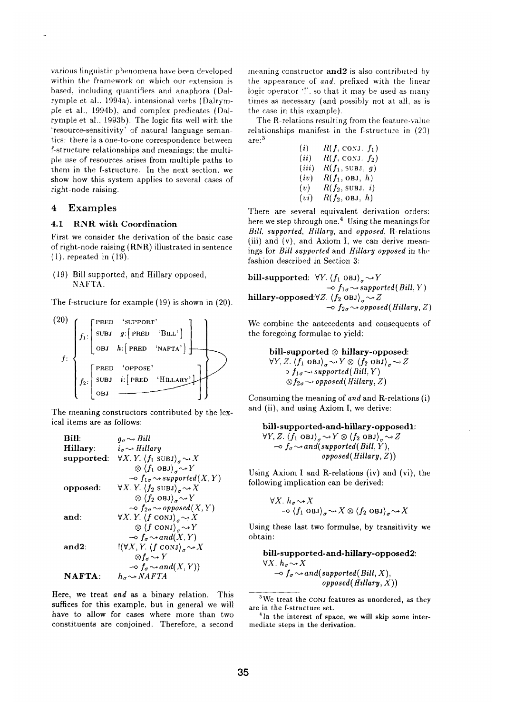various linguistic phenomena have been developed within the framework on which our extension is based, including quantifiers and anaphora (Dalrymple et al., 1994a), intensional verbs (Dalrympie et al., 1994b), and complex predicates (Dalrymple et al., !993b). The logic fits well with the 'resource-sensitivity' of natural language semantics: there is a one-to-one correspondence between f-structure relationships and meanings; the multiple use of resources arises from multiple paths to them in the f-structure. In the next section, we show how this system applies to several cases of right-node raising.

# **4 Examples**

## **4.1 RNR with Coordination**

First we consider the derivation of the basic case of right-node raising (RNR) illustrated in sentence  $(1)$ , repeated in  $(19)$ .

(19) Bill supported, and Hillary opposed, NAFTA.

The f-structure for example (19) is shown in (20).



The meaning constructors contributed by the lexical items are as follows:

\n**Bill:** 
$$
g_{\sigma} \rightarrow \text{Bill}
$$
  
\n**Hillary:**  $i_{\sigma} \rightarrow \text{Hillary}$   
\n**supported:**  $\forall X, Y, \langle f_1 \text{ SUBJ} \rangle_{\sigma} \sim X$   
\n $\otimes \langle f_1 \text{ OBJ} \rangle_{\sigma} \sim Y$   
\n $\rightarrow f_{1\sigma} \rightarrow \text{supported}(X, Y)$   
\n**opposed:**  $\forall X, Y, \langle f_2 \text{ SUBJ} \rangle_{\sigma} \sim X$   
\n $\otimes \langle f_2 \text{ OBJ} \rangle_{\sigma} \sim Y$   
\n $\rightarrow f_{2\sigma} \sim \text{opposed}(X, Y)$   
\nand:  $\forall X, Y, \langle f \text{ CONJ} \rangle_{\sigma} \sim X$   
\n $\otimes \langle f \text{ CONJ} \rangle_{\sigma} \sim Y$   
\n $\rightarrow f_{\sigma} \sim \text{and}(X, Y)$   
\nand2:  $\langle (\forall X, Y, \langle f \text{ CONJ} \rangle_{\sigma} \sim X$   
\n $\otimes f_{\sigma} \sim Y$   
\n $\rightarrow f_{\sigma} \sim \text{and}(X, Y)$   
\n**NAFTA:**  $h_{\sigma} \sim \text{NAFTA}$ \n

Here, we treat *and* as a binary relation. This suffices for this example, but in general we will have to allow for cases where more than two constituents are conjoined. Therefore, a second

meaning constructor and2 is also contributed by the appearance of *and,* prefixed with the linear logic operator  $\mathcal{C}$ . so that it may be used as many times as necessary (and possibly not at all, as is the case in this example).

The R-relations resulting from the feature-value relationships manifest in the f-structure in (20) are: 3

| (i)   | $R(f, \text{conv}, f_1)$ |
|-------|--------------------------|
| (ii)  | $R(f, \text{CONJ}, f_2)$ |
| (iii) | $R(f_1, \text{SUBJ}, g)$ |
| (iv)  | $R(f_1,$ OBJ, h)         |
| (v)   | $R(f_2, \text{SUBJ}, i)$ |
| (vi)  | $R(f_2,$ OBJ, $h)$       |

There are several equivalent derivation orders: here we step through one.<sup>4</sup> Using the meanings for *Bill. supported, Hillary,* and *opposed,* R-relations (iii) and (v), and Axiom I, we can derive meanings for *Bill supported* and *Hillary opposed* in the fashion described in Section 3:

\n
$$
\text{bill-supported: } \forall Y. \left\langle f_1 \text{ oBJ} \right\rangle_{\sigma} \rightarrow Y
$$
\n

\n\n $\rightarrow f_{1\sigma} \rightarrow supported(Bill, Y)$ \n

\n\n hillary-opposed:  $\forall Z. \left\langle f_2 \text{ oBJ} \right\rangle_{\sigma} \rightarrow Z$ \n

\n\n $\rightarrow f_{2\sigma} \rightarrow opposed(Hillary, Z)$ \n

We combine the antecedents and consequents of the foregoing formulae to yield:

bill-supported  $\otimes$  hillary-opposed:  $\forall Y, Z.$   $\langle f_1 \text{ obj} \rangle_{\sigma} \rightsquigarrow Y \otimes \langle f_2 \text{ obj} \rangle_{\sigma} \rightsquigarrow Z$  $\multimap$   $f_{1\sigma} \leadsto supported(Bill, Y)$  $\otimes$  *f*<sub>2*a*</sub>  $\rightarrow$  *opposed*(*Hillary, Z*)

Consuming the meaning of *and* and R-relations (i) and (ii), and using Axiom I, we derive:

bill-suppor ted-and-hillary-opposedl:  $\forall Y, Z. \langle f_1 \text{~o} \text{~s} \text{~s} \rangle_\sigma \!\!\leadsto\! Y \otimes \langle f_2 \text{~o} \text{~s} \text{~s} \rangle_\sigma \!\!\leadsto\! Z$  $\multimap$   $f_{\sigma} \leadsto$  and(supported(Bill, Y), *opposed( Hillary, Z) )* 

Using Axiom I and R-relations (iv) and (vi), the following implication can be derived:

$$
\forall X. h_{\sigma} \sim X
$$
  
\n
$$
\neg \circ (f_1 \text{ obj})_{\sigma} \sim X \otimes (f_2 \text{ obj})_{\sigma} \sim X
$$

Using these last two formulae, by transitivity we obtain:

bill-supported-and-hillary-opposed2:  $\forall X. h_{\sigma} \rightarrow X$  $\rightarrow$   $f_{\sigma}$   $\rightsquigarrow$  and( supported( Bill, X), *opposed( ttillary, X) )* 

 $3$ We treat the CONJ features as unordered, as they are in the f-structure set.

 $<sup>4</sup>$ In the interest of space, we will skip some inter-</sup> mediate steps in the derivation.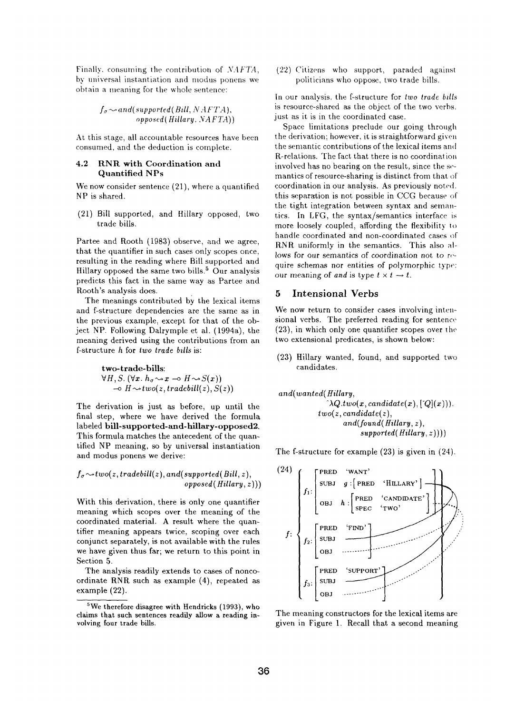Finally, consuming the contribution of *NAFTA*, by universal instantiation and modus ponens we obtain a meaning for the whole sentence:

$$
f_{\sigma} \sim and(sup ported(Bill, NAFTA),opposed(Hillary, NAFTA))
$$

At this stage, all accountable resources have been consumed, and the deduction is complete.

#### 4.2 RNR with Coordination and **Quantified** NPs

We now consider sentence (21), where a quantified NP is shared.

(21) Bill supported, and Hillary opposed, two trade bills.

Partee and Rooth (1983) observe, and we agree, that the quantifier in such cases only scopes once, resulting in the reading where Bill supported and Hillary opposed the same two bills.<sup>5</sup> Our analysis predicts this fact in the same way as Partee and Rooth's analysis does.

The meanings contributed by the lexical items and f-structure dependencies are the same as in the previous example, except for that of the object NP. Following Dalrymple et al. (1994a), the meaning derived using the contributions from an f-structure h for *two trade bills* is:

> **two-trade-bills:**   $\forall H, S.$   $(\forall x. h_{\sigma} \rightsquigarrow x \multimap H \rightsquigarrow S(x))$  $\rightarrow$  *H* $\rightsquigarrow$ *two*(*z*, *tradebill*(*z*), *S*(*z*))

The derivation is just as before, up until the final step, where we have derived the formula labeled bill-supported-and-hillary-opposed2. This formula matches the antecedent of the quantified NP meaning, so by universal instantiation and modus ponens we derive:

$$
f_{\sigma} \sim two(z, tradebill(z), and (supported (Bill, z),opposed (Hillary, z)))
$$

With this derivation, there is only one quantifier meaning which scopes over the meaning of the coordinated material. A result where the quantifier meaning appears twice, scoping over each conjunct separately, is not available with the rules we have given thus far; we return to this point in Section 5.

The analysis readily extends to cases of noncoordinate RNR such as example (4), repeated as example (22).

(22) Citizens who support, paraded against politicians who oppose, two trade bills.

In our analysis, the f-structure for *two trade bills*  is resource-shared as the object of the two verbs. just as it is in the coordinated case.

Space limitations preclude our going through the derivation; however, it is straightforward given the semantic contributions of the lexical items and R-relations. The fact that there is no coordination involved has no bearing on the result, since the semantics of resource-sharing is distinct from that of coordination in our analysis. As previously noted. this separation is not possible in *CCG* because of the tight integration between syntax and semantics. In LFG, the syntax/semantics interface is more loosely coupled, affording the flexibility to handle coordinated and non-coordinated cases of RNR uniformly in the semantics. This also allows for our semantics of coordination not to *re*quire schemas nor entities of polymorphic type: our meaning of *and* is type  $t \times t \rightarrow t$ .

# **5** Intensional Verbs

We now return to consider cases involving intensional verbs. The preferred reading for sentence (23), in which only one quantifier scopes over the two extensional predicates, is shown below:

(23) Hillary wanted, found, and supported two candidates.

*and(wanted( Hillary, ~)~Q.two( x, candidate(z),* ['Q](x))), *two(z, candidale( z ), and(found( Hillary,* z), *supported( Hillary, z ) ) ) )* 

The f-structure for example (23) is given in (24).



The meaning constructors for the lexical items are given in Figure 1. Recall that a second meaning

 $5$ We therefore disagree with Hendricks (1993), who claims that such sentences readily allow a reading involving four trade bills.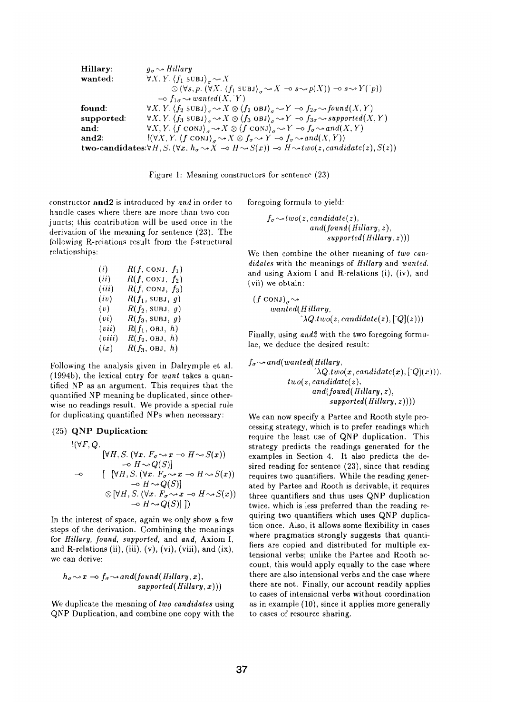| Hillary:   | $g_{\sigma} \rightarrow Hillaru$                                                                                                                                                                        |
|------------|---------------------------------------------------------------------------------------------------------------------------------------------------------------------------------------------------------|
| wanted:    | $\forall X, Y.$ $\langle f_1 \text{ SUBJ} \rangle_{\sigma} \sim X$                                                                                                                                      |
|            | $\mathcal{D}(\forall s, p. (\forall X. \langle f_1 \text{ SUBJ} \rangle_{\sigma} \rightsquigarrow X \multimap s \sim p(X)) \multimap s \rightsquigarrow Y([p]))$                                        |
|            | $\rightarrow$ $f_{1\sigma} \rightarrow$ wanted $(X, Y)$                                                                                                                                                 |
| found:     | $\forall X, Y.$ $\langle f_2 \text{ SUBJ} \rangle_{\sigma} \rightsquigarrow X \otimes \langle f_2 \text{ OBJ} \rangle_{\sigma} \rightsquigarrow Y \rightarrow f_{2\sigma} \rightsquigarrow found(X, Y)$ |
| supported: | $\forall X, Y.$ $\langle f_3 \text{ SUBJ} \rangle_{\sigma} \rightarrow X \otimes \langle f_3 \text{ OBJ} \rangle_{\sigma} \rightarrow Y \rightarrow f_{3\sigma} \rightarrow supported(X, Y)$            |
| and:       | $\forall X, Y.$ (f CONJ) <sub>a</sub> $\rightsquigarrow$ X $\otimes$ (f CONJ) <sub>a</sub> $\rightsquigarrow$ Y $\rightarrow$ 6 f <sub>o</sub> $\rightsquigarrow$ and(X, Y)                             |
| and 2:     | $\mathbb{I}(\forall X, Y, \langle f \text{ conj} \rangle_{\sigma} \rightsquigarrow X \otimes f_{\sigma} \rightsquigarrow Y \rightarrow f_{\sigma} \rightsquigarrow and (X, Y)).$                        |
|            | <b>two-candidates:</b> $\forall H, S$ . $(\forall x. h_{\sigma} \rightarrow X \rightarrow H \rightarrow S(x)) \rightarrow H \rightarrow two(z, candidate(z), S(z))$                                     |

Figure 1: Meaning constructors for sentence (23)

constructor and2 is introduced by *and* in order to handle cases where there are more than two conjuncts; this contribution will be used once in the derivation of the meaning for sentence (23). The following R-relations result from the f-structural relationships:

| (i)                 | $R(f, \text{CONJ}, f_1)$ |
|---------------------|--------------------------|
| (ii)                | $R(f, \text{CONJ}, f_2)$ |
| (iii)               | $R(f, \text{CONJ}, f_3)$ |
| (iv)                | $R(f_1, \text{SUBJ}, g)$ |
| (v)                 | $R(f_2, \text{SUBJ}, g)$ |
| (vi)                | $R(f_3, \text{SUBJ}, g)$ |
| (vii)               | $R(f_1,$ OBJ, $h)$       |
| (viii)              | $R(f_2,$ OBJ, $h)$       |
| $\left( ix\right) $ | $R(f_3,$ OBJ, h)         |

Following the analysis given in Dalrymple et al. (1994b), the lexical entry for *want* takes a quantified NP as an argument. This requires that the quantified NP meaning be duplicated, since otherwise no readings result. We provide a special rule for duplicating quantified NPs when necessary:

#### (25) QNP Duplication:

$$
\begin{array}{ll}\n\{\forall F, Q. & \forall H, S. \ (\forall x. \ F_{\sigma} \sim x \multimap H \sim S(x)) \\
& \to H \sim Q(S)\} \\
\multimap & \left[ \begin{array}{c} \forall H, S. \ (\forall x. \ F_{\sigma} \sim x \multimap H \sim S(x)) \\
\to G \end{array} \right] \\
\otimes \left[ \forall H, S. \ (\forall x. \ F_{\sigma} \sim x \multimap H \sim S(x))\n\end{array} \right] \\
\otimes \left[ \forall H, S. \ (\forall x. \ F_{\sigma} \sim x \multimap H \sim S(x))\n\end{array}
$$

In the interest of space, again we only show a few steps of the derivation. Combining the meanings for *Hillary, found, supported,* and *and,* Axiom I, and R-relations (ii), (iii),  $(v)$ ,  $(vi)$ ,  $(vii)$ , and  $(ix)$ , we can derive:

$$
h_{\sigma} \rightarrow x \rightarrow f_{\sigma} \rightarrow and (found(Hillary, x),supported(Hillary, x)))
$$

We duplicate the meaning of *two candidates* using QNP Duplication, and combine one copy with the foregoing formula to yield:

$$
f_{\sigma} \sim two(z, candidate(z),\\ and (found (Hillary, z),\\ supported (Hillary, z)))
$$

We then combine the other meaning of *two candidates* with the meanings of *Hillary* and *wanted.*  and using Axiom I and R-relations (i), (iv), and (vii) we obtain:

$$
(f\,\text{CONJ})_{\sigma} \sim
$$
  
wanted(Hillary,  
 $\lambda Q.two(z, candidate(z), [\mathbf{Q}](z)))$ 

Finally, using *and2* with the two foregoing formulae, we deduce the desired result:

$$
f_{\sigma} \sim and(wanted(Hillary, \\ \hat{\lambda}Q.two(x, candidate(x), [\hat{\lambda}Q](x))), \\ two(z, candidate(z), \\ and (found(Hillary, z), \\ supported(Hillary, z)))
$$

We can now specify a Partee and Rooth style processing strategy, which is to prefer readings which require the least use of QNP duplication. This strategy predicts the readings generated for the examples in Section 4. It also predicts the desired reading for sentence (23), since that reading requires two quantifiers. While the reading generated by Partee and Rooth is derivable, it requires three quantifiers and thus uses QNP duplication twice, which is less preferred than the reading requiring two quantifiers which uses QNP duplication once. Also, it allows some flexibility in cases where pragmatics strongly suggests that quantifiers are copied and distributed for multiple extensional verbs; unlike the Partee and Rooth account, this would apply equally to the case where there are also intensional verbs and the case where there are not. Finally, our account readily applies to cases of intensional verbs without coordination as in example (10), since it applies more generally to cases of resource sharing.